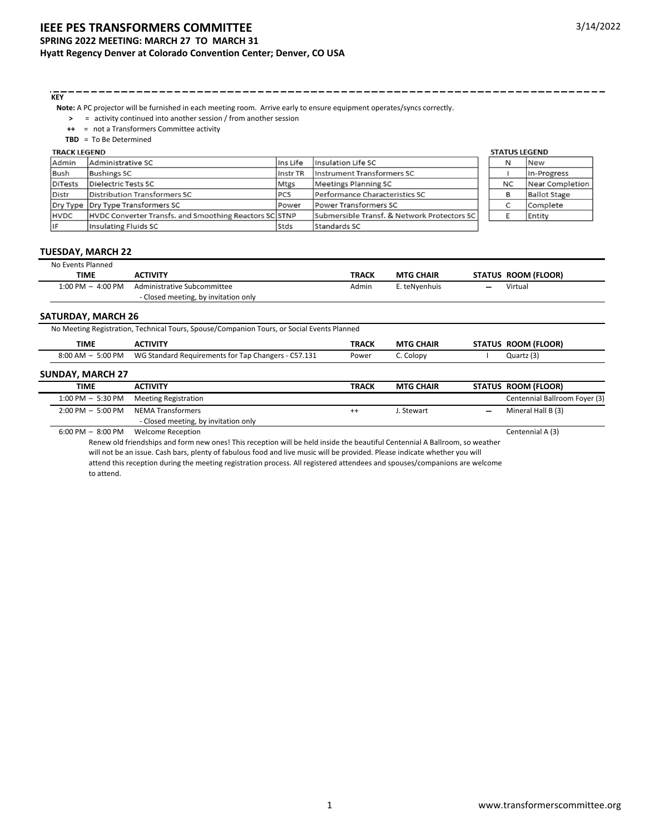#### **KEY**

**Note:** A PC projector will be furnished in each meeting room. Arrive early to ensure equipment operates/syncs correctly.

- **>** = activity continued into another session / from another session
- **++** = not a Transformers Committee activity

 **TBD** = To Be Determined

#### 

| TRACK LEGEND |                                                        |             |                                             | <b>SIAIUS LEGEND</b> |                     |
|--------------|--------------------------------------------------------|-------------|---------------------------------------------|----------------------|---------------------|
| lAdmin       | Administrative SC                                      | lins Life   | Insulation Life SC                          | N                    | New                 |
| Bush         | <b>Bushings SC</b>                                     | l Instr TR  | Instrument Transformers SC                  |                      | In-Progress         |
| DiTests      | Dielectric Tests SC                                    | Mtgs        | Meetings Planning SC                        | <b>NC</b>            | Near Completion     |
| Distr        | Distribution Transformers SC                           | <b>IPCS</b> | Performance Characteristics SC              |                      | <b>Ballot Stage</b> |
|              | Dry Type Dry Type Transformers SC                      | lPower      | Power Transformers SC                       |                      | Complete            |
| <b>HVDC</b>  | HVDC Converter Transfs. and Smoothing Reactors SCSSTNP |             | Submersible Transf. & Network Protectors SC |                      | Entity              |
| IIF          | Insulating Fluids SC                                   | Stds        | Standards SC                                |                      |                     |
|              |                                                        |             |                                             |                      |                     |

#### **TUESDAY, MARCH 22**

| No Events Planned                   |                                                                     |              |                  |                     |
|-------------------------------------|---------------------------------------------------------------------|--------------|------------------|---------------------|
| <b>TIME</b>                         | <b>ACTIVITY</b>                                                     | <b>TRACK</b> | <b>MTG CHAIR</b> | STATUS ROOM (FLOOR) |
| $1:00 \text{ PM} - 4:00 \text{ PM}$ | Administrative Subcommittee<br>- Closed meeting, by invitation only | Admin        | E. teNyenhuis    | Virtual             |
| CATUDDAYABADOU2C                    |                                                                     |              |                  |                     |

#### **SATURDAY, MARCH 26**

|                                     | No Meeting Registration, Technical Tours, Spouse/Companion Tours, or Social Events Planned |              |                  |   |                               |
|-------------------------------------|--------------------------------------------------------------------------------------------|--------------|------------------|---|-------------------------------|
| <b>TIME</b>                         | <b>ACTIVITY</b>                                                                            | <b>TRACK</b> | <b>MTG CHAIR</b> |   | <b>STATUS ROOM (FLOOR)</b>    |
| $8:00$ AM $-5:00$ PM                | WG Standard Requirements for Tap Changers - C57.131                                        | Power        | C. Colopy        |   | Quartz (3)                    |
| <b>SUNDAY, MARCH 27</b>             |                                                                                            |              |                  |   |                               |
| <b>TIME</b>                         | <b>ACTIVITY</b>                                                                            | <b>TRACK</b> | <b>MTG CHAIR</b> |   | <b>STATUS ROOM (FLOOR)</b>    |
| $1:00$ PM $-5:30$ PM                | <b>Meeting Registration</b>                                                                |              |                  |   | Centennial Ballroom Foyer (3) |
| $2:00 \text{ PM} - 5:00 \text{ PM}$ | <b>NEMA Transformers</b>                                                                   | $^{++}$      | J. Stewart       | - | Mineral Hall B (3)            |
|                                     | - Closed meeting, by invitation only                                                       |              |                  |   |                               |
| $6:00 \text{ PM} - 8:00 \text{ PM}$ | <b>Welcome Reception</b>                                                                   |              |                  |   | Centennial A (3)              |

Renew old friendships and form new ones! This reception will be held inside the beautiful Centennial A Ballroom, so weather will not be an issue. Cash bars, plenty of fabulous food and live music will be provided. Please indicate whether you will attend this reception during the meeting registration process. All registered attendees and spouses/companions are welcome to attend.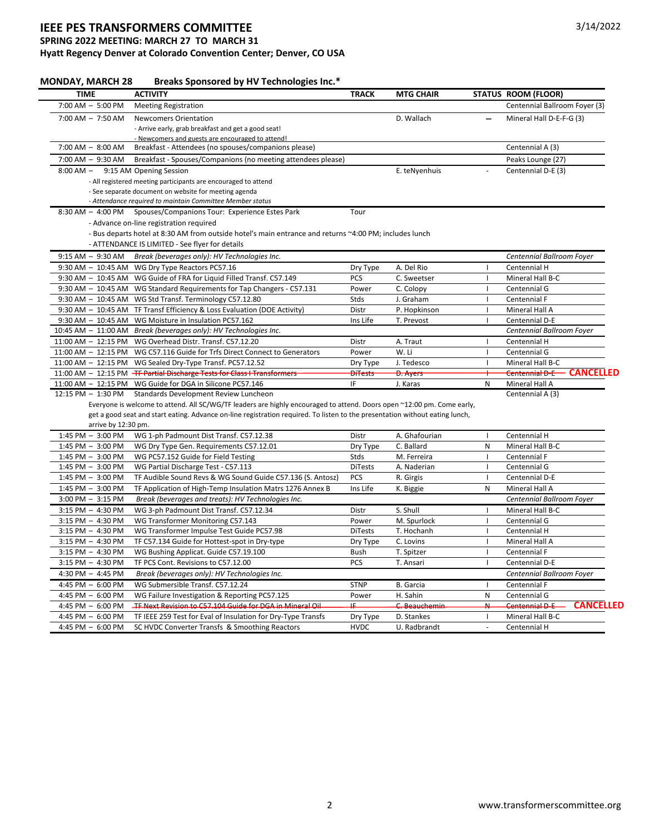# **IEEE PES TRANSFORMERS COMMITTEE** 3/14/2022

**Hyatt Regency Denver at Colorado Convention Center; Denver, CO USA**

| <b>MONDAY, MARCH 28</b> | Breaks Sponsored by HV Technologies Inc.*                                                                                    |                    |                     |                          |                               |                  |
|-------------------------|------------------------------------------------------------------------------------------------------------------------------|--------------------|---------------------|--------------------------|-------------------------------|------------------|
| <b>TIME</b>             | <b>ACTIVITY</b>                                                                                                              | <b>TRACK</b>       | <b>MTG CHAIR</b>    |                          | <b>STATUS ROOM (FLOOR)</b>    |                  |
| $7:00$ AM $-5:00$ PM    | <b>Meeting Registration</b>                                                                                                  |                    |                     |                          | Centennial Ballroom Foyer (3) |                  |
| $7:00$ AM $-7:50$ AM    | <b>Newcomers Orientation</b>                                                                                                 |                    | D. Wallach          |                          | Mineral Hall D-E-F-G (3)      |                  |
|                         | - Arrive early, grab breakfast and get a good seat!                                                                          |                    |                     |                          |                               |                  |
|                         | - Newcomers and guests are encouraged to attend!                                                                             |                    |                     |                          |                               |                  |
| $7:00$ AM $-$ 8:00 AM   | Breakfast - Attendees (no spouses/companions please)                                                                         |                    |                     |                          | Centennial A (3)              |                  |
| 7:00 AM - 9:30 AM       | Breakfast - Spouses/Companions (no meeting attendees please)                                                                 |                    |                     |                          | Peaks Lounge (27)             |                  |
| $8:00 \, \text{AM} -$   | 9:15 AM Opening Session                                                                                                      |                    | E. teNyenhuis       |                          | Centennial D-E (3)            |                  |
|                         | - All registered meeting participants are encouraged to attend                                                               |                    |                     |                          |                               |                  |
|                         | - See separate document on website for meeting agenda                                                                        |                    |                     |                          |                               |                  |
|                         | - Attendance required to maintain Committee Member status                                                                    |                    |                     |                          |                               |                  |
|                         | 8:30 AM - 4:00 PM Spouses/Companions Tour: Experience Estes Park                                                             | Tour               |                     |                          |                               |                  |
|                         | - Advance on-line registration required                                                                                      |                    |                     |                          |                               |                  |
|                         | - Bus departs hotel at 8:30 AM from outside hotel's main entrance and returns ~4:00 PM; includes lunch                       |                    |                     |                          |                               |                  |
|                         | - ATTENDANCE IS LIMITED - See flyer for details                                                                              |                    |                     |                          |                               |                  |
|                         | 9:15 AM - 9:30 AM Break (beverages only): HV Technologies Inc.                                                               |                    |                     |                          | Centennial Ballroom Foyer     |                  |
|                         | 9:30 AM - 10:45 AM WG Dry Type Reactors PC57.16                                                                              | Dry Type           | A. Del Rio          |                          | Centennial H                  |                  |
|                         | 9:30 AM - 10:45 AM WG Guide of FRA for Liquid Filled Transf. C57.149                                                         | <b>PCS</b>         | C. Sweetser         | $\mathbf{I}$             | Mineral Hall B-C              |                  |
|                         | 9:30 AM - 10:45 AM WG Standard Requirements for Tap Changers - C57.131                                                       | Power              | C. Colopy           | $\mathbf{I}$             | Centennial G                  |                  |
|                         | 9:30 AM - 10:45 AM WG Std Transf. Terminology C57.12.80                                                                      | Stds               | J. Graham           | $\mathbf{I}$             | Centennial F                  |                  |
|                         | 9:30 AM - 10:45 AM TF Transf Efficiency & Loss Evaluation (DOE Activity)                                                     | Distr              | P. Hopkinson        | $\mathbf{I}$             | Mineral Hall A                |                  |
|                         | 9:30 AM - 10:45 AM WG Moisture in Insulation PC57.162                                                                        | Ins Life           | T. Prevost          | $\mathbf{I}$             | Centennial D-E                |                  |
|                         | 10:45 AM - 11:00 AM Break (beverages only): HV Technologies Inc.                                                             |                    |                     |                          | Centennial Ballroom Foyer     |                  |
|                         | 11:00 AM - 12:15 PM WG Overhead Distr. Transf. C57.12.20                                                                     | Distr              | A. Traut            | $\mathbf{I}$             | Centennial H                  |                  |
|                         | 11:00 AM - 12:15 PM WG C57.116 Guide for Trfs Direct Connect to Generators                                                   | Power              | W.Li                | $\overline{\phantom{a}}$ | Centennial G                  |                  |
|                         | 11:00 AM - 12:15 PM WG Sealed Dry-Type Transf. PC57.12.52                                                                    | Dry Type           | J. Tedesco          | $\mathbf{I}$             | Mineral Hall B-C              |                  |
|                         | 11:00 AM - 12:15 PM - TF Partial Discharge Tests for Class I Transformers                                                    | <del>DiTests</del> | <del>D. Ayers</del> | ۰                        | Centennial D-E                | <b>CANCELLED</b> |
|                         | 11:00 AM - 12:15 PM WG Guide for DGA in Silicone PC57.146                                                                    | IF                 | J. Karas            | N                        | Mineral Hall A                |                  |
|                         | 12:15 PM - 1:30 PM Standards Development Review Luncheon                                                                     |                    |                     |                          | Centennial A (3)              |                  |
|                         | Everyone is welcome to attend. All SC/WG/TF leaders are highly encouraged to attend. Doors open ~12:00 pm. Come early,       |                    |                     |                          |                               |                  |
|                         | get a good seat and start eating. Advance on-line registration required. To listen to the presentation without eating lunch, |                    |                     |                          |                               |                  |
| arrive by 12:30 pm.     |                                                                                                                              |                    |                     |                          |                               |                  |
| $1:45$ PM $-3:00$ PM    | WG 1-ph Padmount Dist Transf. C57.12.38                                                                                      | Distr              | A. Ghafourian       | $\mathbf{I}$             | Centennial H                  |                  |
| $1:45$ PM $-3:00$ PM    | WG Dry Type Gen. Requirements C57.12.01                                                                                      | Dry Type           | C. Ballard          | Ν                        | Mineral Hall B-C              |                  |
| 1:45 PM - 3:00 PM       | WG PC57.152 Guide for Field Testing                                                                                          | Stds               | M. Ferreira         | $\mathbf{I}$             | Centennial F                  |                  |
| $1:45$ PM $-3:00$ PM    | WG Partial Discharge Test - C57.113                                                                                          | <b>DiTests</b>     | A. Naderian         | -1                       | Centennial G                  |                  |
| $1:45$ PM $-3:00$ PM    | TF Audible Sound Revs & WG Sound Guide C57.136 (S. Antosz)                                                                   | PCS                | R. Girgis           | $\mathbf{I}$             | Centennial D-E                |                  |
| $1:45$ PM $-3:00$ PM    | TF Application of High-Temp Insulation Matrs 1276 Annex B                                                                    | Ins Life           | K. Biggie           | N                        | Mineral Hall A                |                  |
| $3:00$ PM $-3:15$ PM    | Break (beverages and treats): HV Technologies Inc.                                                                           |                    |                     |                          | Centennial Ballroom Foyer     |                  |
| 3:15 PM - 4:30 PM       | WG 3-ph Padmount Dist Transf. C57.12.34                                                                                      | Distr              | S. Shull            | $\mathbf{I}$             | Mineral Hall B-C              |                  |
| 3:15 PM - 4:30 PM       | WG Transformer Monitoring C57.143                                                                                            | Power              | M. Spurlock         | $\mathbf{I}$             | Centennial G                  |                  |
| $3:15$ PM $-4:30$ PM    | WG Transformer Impulse Test Guide PC57.98                                                                                    | <b>DiTests</b>     | T. Hochanh          | $\mathbf{I}$             | Centennial H                  |                  |
| 3:15 PM - 4:30 PM       | TF C57.134 Guide for Hottest-spot in Dry-type                                                                                | Dry Type           | C. Lovins           | $\mathbf{I}$             | Mineral Hall A                |                  |
| 3:15 PM - 4:30 PM       | WG Bushing Applicat. Guide C57.19.100                                                                                        | Bush               | T. Spitzer          | $\mathbf{I}$             | Centennial F                  |                  |
| 3:15 PM - 4:30 PM       | TF PCS Cont. Revisions to C57.12.00                                                                                          | PCS                | T. Ansari           |                          | Centennial D-E                |                  |
| 4:30 PM - 4:45 PM       | Break (beverages only): HV Technologies Inc.                                                                                 |                    |                     |                          | Centennial Ballroom Foyer     |                  |
| 4:45 PM - 6:00 PM       | WG Submersible Transf. C57.12.24                                                                                             | <b>STNP</b>        | B. Garcia           | $\mathbf{I}$             | Centennial F                  |                  |
| 4:45 PM - 6:00 PM       | WG Failure Investigation & Reporting PC57.125                                                                                | Power              | H. Sahin            | Ν                        | Centennial G                  |                  |
| 4:45 PM $-6:00$ PM      | TF Next Revision to C57.104 Guide for DGA in Mineral Oil                                                                     | ₽                  | C. Beauchemin       | ₩                        | Centennial D-E                | <b>CANCELLED</b> |
| 4:45 PM - 6:00 PM       | TF IEEE 259 Test for Eval of Insulation for Dry-Type Transfs                                                                 | Dry Type           | D. Stankes          | $\mathbf{I}$             | Mineral Hall B-C              |                  |
| 4:45 PM - 6:00 PM       | SC HVDC Converter Transfs & Smoothing Reactors                                                                               | <b>HVDC</b>        | U. Radbrandt        | $\overline{\phantom{a}}$ | Centennial H                  |                  |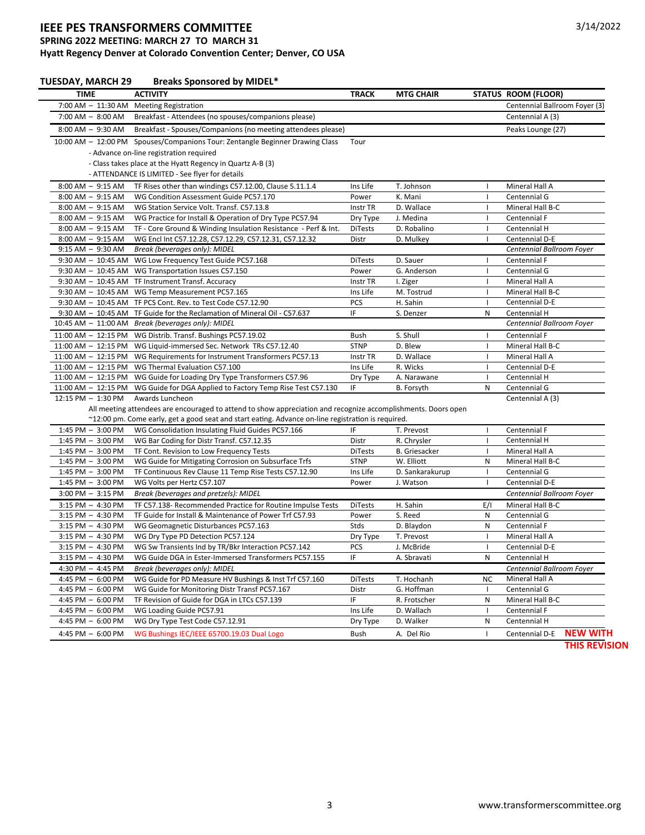# **IEEE PES TRANSFORMERS COMMITTEE** 3/14/2022

# **SPRING 2022 MEETING: MARCH 27 TO MARCH 31**

**Hyatt Regency Denver at Colorado Convention Center; Denver, CO USA**

# **TUESDAY, MARCH 29 Breaks Sponsored by MIDEL\***

| <b>TIME</b>             | <b>ACTIVITY</b>                                                                                                  | <b>TRACK</b>   | <b>MTG CHAIR</b>     |              | STATUS ROOM (FLOOR)               |
|-------------------------|------------------------------------------------------------------------------------------------------------------|----------------|----------------------|--------------|-----------------------------------|
|                         | 7:00 AM - 11:30 AM Meeting Registration                                                                          |                |                      |              | Centennial Ballroom Foyer (3)     |
| $7:00$ AM $-$ 8:00 AM   | Breakfast - Attendees (no spouses/companions please)                                                             |                |                      |              | Centennial A (3)                  |
| $8:00$ AM $-$ 9:30 AM   | Breakfast - Spouses/Companions (no meeting attendees please)                                                     |                |                      |              | Peaks Lounge (27)                 |
|                         | 10:00 AM - 12:00 PM Spouses/Companions Tour: Zentangle Beginner Drawing Class                                    | Tour           |                      |              |                                   |
|                         | - Advance on-line registration required                                                                          |                |                      |              |                                   |
|                         | - Class takes place at the Hyatt Regency in Quartz A-B (3)                                                       |                |                      |              |                                   |
|                         | - ATTENDANCE IS LIMITED - See flyer for details                                                                  |                |                      |              |                                   |
| $8:00$ AM $-$ 9:15 AM   | TF Rises other than windings C57.12.00, Clause 5.11.1.4                                                          | Ins Life       | T. Johnson           | $\mathbf{I}$ | Mineral Hall A                    |
| $8:00$ AM $-9:15$ AM    | WG Condition Assessment Guide PC57.170                                                                           | Power          | K. Mani              | $\mathbf{I}$ | Centennial G                      |
| $8:00$ AM $-$ 9:15 AM   | WG Station Service Volt. Transf. C57.13.8                                                                        | Instr TR       | D. Wallace           | T            | Mineral Hall B-C                  |
| $8:00$ AM $-9:15$ AM    | WG Practice for Install & Operation of Dry Type PC57.94                                                          | Dry Type       | J. Medina            | $\mathbf{I}$ | Centennial F                      |
| $8:00$ AM $-9:15$ AM    | TF - Core Ground & Winding Insulation Resistance - Perf & Int.                                                   | <b>DiTests</b> | D. Robalino          | $\mathbf{I}$ | Centennial H                      |
| $8:00$ AM $-$ 9:15 AM   | WG Encl Int C57.12.28, C57.12.29, C57.12.31, C57.12.32                                                           | Distr          | D. Mulkey            |              | Centennial D-E                    |
| $9:15 AM - 9:30 AM$     | Break (beverages only): MIDEL                                                                                    |                |                      |              | Centennial Ballroom Foyer         |
|                         | 9:30 AM - 10:45 AM WG Low Frequency Test Guide PC57.168                                                          | <b>DiTests</b> | D. Sauer             | $\mathbf{I}$ | Centennial F                      |
|                         | 9:30 AM - 10:45 AM WG Transportation Issues C57.150                                                              | Power          | G. Anderson          | T            | Centennial G                      |
|                         | 9:30 AM - 10:45 AM TF Instrument Transf. Accuracy                                                                | Instr TR       | I. Ziger             | $\mathbf{I}$ | Mineral Hall A                    |
|                         | 9:30 AM - 10:45 AM WG Temp Measurement PC57.165                                                                  | Ins Life       | M. Tostrud           | $\mathbf{I}$ | Mineral Hall B-C                  |
|                         | 9:30 AM - 10:45 AM TF PCS Cont. Rev. to Test Code C57.12.90                                                      | PCS            | H. Sahin             | $\mathbf{I}$ | Centennial D-E                    |
|                         | 9:30 AM - 10:45 AM TF Guide for the Reclamation of Mineral Oil - C57.637                                         | IF             | S. Denzer            | N            | Centennial H                      |
|                         | 10:45 AM - 11:00 AM Break (beverages only): MIDEL                                                                |                |                      |              | Centennial Ballroom Foyer         |
|                         | 11:00 AM - 12:15 PM WG Distrib. Transf. Bushings PC57.19.02                                                      | Bush           | S. Shull             | ı            | Centennial F                      |
|                         | 11:00 AM - 12:15 PM WG Liquid-immersed Sec. Network TRs C57.12.40                                                | <b>STNP</b>    | D. Blew              | T            | Mineral Hall B-C                  |
| $11:00$ AM $- 12:15$ PM | WG Requirements for Instrument Transformers PC57.13                                                              | Instr TR       | D. Wallace           | T            | Mineral Hall A                    |
|                         | 11:00 AM - 12:15 PM WG Thermal Evaluation C57.100                                                                | Ins Life       | R. Wicks             | $\mathbf{I}$ | Centennial D-E                    |
|                         | 11:00 AM - 12:15 PM WG Guide for Loading Dry Type Transformers C57.96                                            | Dry Type       | A. Narawane          | $\mathbf{I}$ | Centennial H                      |
|                         | 11:00 AM - 12:15 PM WG Guide for DGA Applied to Factory Temp Rise Test C57.130                                   | IF             | B. Forsyth           | N            | Centennial G                      |
| 12:15 PM - 1:30 PM      | Awards Luncheon                                                                                                  |                |                      |              | Centennial A (3)                  |
|                         | All meeting attendees are encouraged to attend to show appreciation and recognize accomplishments. Doors open    |                |                      |              |                                   |
|                         | ~12:00 pm. Come early, get a good seat and start eating. Advance on-line registration is required.               | IF             | T. Prevost           | $\mathbf{I}$ | Centennial F                      |
| 1:45 PM - 3:00 PM       | 1:45 PM - 3:00 PM WG Consolidation Insulating Fluid Guides PC57.166<br>WG Bar Coding for Distr Transf. C57.12.35 | Distr          | R. Chrysler          | T            | Centennial H                      |
| $1:45$ PM $-3:00$ PM    | TF Cont. Revision to Low Frequency Tests                                                                         | <b>DiTests</b> | <b>B.</b> Griesacker | $\mathbf{I}$ | Mineral Hall A                    |
| 1:45 PM - 3:00 PM       | WG Guide for Mitigating Corrosion on Subsurface Trfs                                                             | <b>STNP</b>    | W. Elliott           | N            | Mineral Hall B-C                  |
| 1:45 PM - 3:00 PM       | TF Continuous Rev Clause 11 Temp Rise Tests C57.12.90                                                            | Ins Life       | D. Sankarakurup      | $\mathbf{I}$ | Centennial G                      |
| 1:45 PM - 3:00 PM       | WG Volts per Hertz C57.107                                                                                       | Power          | J. Watson            | ı            | Centennial D-E                    |
| $3:00$ PM $-3:15$ PM    | Break (beverages and pretzels): MIDEL                                                                            |                |                      |              | Centennial Ballroom Foyer         |
| 3:15 PM - 4:30 PM       | TF C57.138- Recommended Practice for Routine Impulse Tests                                                       | <b>DiTests</b> | H. Sahin             | E/I          | Mineral Hall B-C                  |
| 3:15 PM - 4:30 PM       | TF Guide for Install & Maintenance of Power Trf C57.93                                                           | Power          | S. Reed              | N            | Centennial G                      |
| 3:15 PM - 4:30 PM       | WG Geomagnetic Disturbances PC57.163                                                                             | Stds           | D. Blaydon           | N            | Centennial F                      |
| 3:15 PM - 4:30 PM       | WG Dry Type PD Detection PC57.124                                                                                | Dry Type       | T. Prevost           | T            | Mineral Hall A                    |
| 3:15 PM - 4:30 PM       | WG Sw Transients Ind by TR/Bkr Interaction PC57.142                                                              | PCS            | J. McBride           | $\mathbf{I}$ | Centennial D-E                    |
| 3:15 PM - 4:30 PM       | WG Guide DGA in Ester-Immersed Transformers PC57.155                                                             | IF             | A. Sbravati          | N            | Centennial H                      |
| 4:30 PM - 4:45 PM       | Break (beverages only): MIDEL                                                                                    |                |                      |              | Centennial Ballroom Foyer         |
| 4:45 PM - 6:00 PM       | WG Guide for PD Measure HV Bushings & Inst Trf C57.160                                                           | <b>DiTests</b> | T. Hochanh           | <b>NC</b>    | Mineral Hall A                    |
| 4:45 PM $-6:00$ PM      | WG Guide for Monitoring Distr Transf PC57.167                                                                    | Distr          | G. Hoffman           | $\mathbf{I}$ | Centennial G                      |
| 4:45 PM - 6:00 PM       | TF Revision of Guide for DGA in LTCs C57.139                                                                     | IF.            | R. Frotscher         | N            | Mineral Hall B-C                  |
| 4:45 PM - 6:00 PM       | WG Loading Guide PC57.91                                                                                         | Ins Life       | D. Wallach           | $\mathbf{I}$ | Centennial F                      |
| 4:45 PM $-6:00$ PM      | WG Dry Type Test Code C57.12.91                                                                                  | Dry Type       | D. Walker            | N            | Centennial H                      |
| 4:45 PM - 6:00 PM       | WG Bushings IEC/IEEE 65700.19.03 Dual Logo                                                                       | Bush           | A. Del Rio           | T            | <b>NEW WITH</b><br>Centennial D-E |
|                         |                                                                                                                  |                |                      |              |                                   |

#### **THIS REVISION**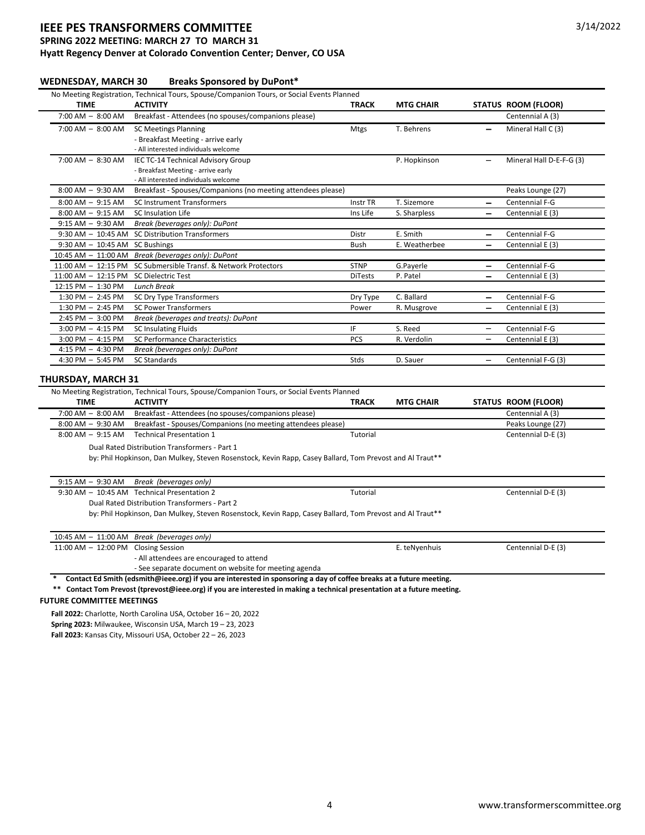# **IEEE PES TRANSFORMERS COMMITTEE** 3/14/2022

## **SPRING 2022 MEETING: MARCH 27 TO MARCH 31**

#### **Hyatt Regency Denver at Colorado Convention Center; Denver, CO USA**

#### **WEDNESDAY, MARCH 30 Breaks Sponsored by DuPont\***

| <b>TIME</b>                            | No Meeting Registration, Technical Tours, Spouse/Companion Tours, or Social Events Planned<br><b>ACTIVITY</b> | <b>TRACK</b>   | <b>MTG CHAIR</b> |                          | <b>STATUS ROOM (FLOOR)</b> |
|----------------------------------------|---------------------------------------------------------------------------------------------------------------|----------------|------------------|--------------------------|----------------------------|
| $7:00$ AM $-$ 8:00 AM                  | Breakfast - Attendees (no spouses/companions please)                                                          |                |                  |                          | Centennial A (3)           |
| $7:00$ AM $-$ 8:00 AM                  | <b>SC Meetings Planning</b>                                                                                   | <b>Mtgs</b>    | T. Behrens       |                          | Mineral Hall C (3)         |
|                                        | - Breakfast Meeting - arrive early                                                                            |                |                  |                          |                            |
|                                        | - All interested individuals welcome                                                                          |                |                  |                          |                            |
| $7:00$ AM $-$ 8:30 AM                  | IEC TC-14 Technical Advisory Group                                                                            |                | P. Hopkinson     |                          | Mineral Hall D-E-F-G (3)   |
|                                        | - Breakfast Meeting - arrive early                                                                            |                |                  |                          |                            |
|                                        | - All interested individuals welcome                                                                          |                |                  |                          |                            |
| 8:00 AM - 9:30 AM                      | Breakfast - Spouses/Companions (no meeting attendees please)                                                  |                |                  |                          | Peaks Lounge (27)          |
| $8:00$ AM $-$ 9:15 AM                  | <b>SC Instrument Transformers</b>                                                                             | Instr TR       | T. Sizemore      | $\equiv$                 | Centennial F-G             |
| $8:00$ AM $-$ 9:15 AM                  | SC Insulation Life                                                                                            | Ins Life       | S. Sharpless     | $\overline{\phantom{0}}$ | Centennial E (3)           |
| $9:15 AM - 9:30 AM$                    | Break (beverages only): DuPont                                                                                |                |                  |                          |                            |
|                                        | 9:30 AM - 10:45 AM SC Distribution Transformers                                                               | Distr          | E. Smith         | $\overline{\phantom{0}}$ | Centennial F-G             |
| 9:30 AM - 10:45 AM SC Bushings         |                                                                                                               | Bush           | E. Weatherbee    | $\overline{\phantom{a}}$ | Centennial E (3)           |
|                                        | 10:45 AM - 11:00 AM Break (beverages only): DuPont                                                            |                |                  |                          |                            |
| $11:00$ AM $- 12:15$ PM                | SC Submersible Transf. & Network Protectors                                                                   | <b>STNP</b>    | G.Payerle        | $\overline{\phantom{0}}$ | Centennial F-G             |
| 11:00 AM - 12:15 PM SC Dielectric Test |                                                                                                               | <b>DiTests</b> | P. Patel         | —                        | Centennial E (3)           |
| 12:15 PM - 1:30 PM                     | <b>Lunch Break</b>                                                                                            |                |                  |                          |                            |
| $1:30$ PM $-2:45$ PM                   | SC Dry Type Transformers                                                                                      | Dry Type       | C. Ballard       | $\overline{\phantom{0}}$ | Centennial F-G             |
| 1:30 PM - 2:45 PM                      | <b>SC Power Transformers</b>                                                                                  | Power          | R. Musgrove      | $\equiv$                 | Centennial E (3)           |
| 2:45 PM - 3:00 PM                      | Break (beverages and treats): DuPont                                                                          |                |                  |                          |                            |
| $3:00$ PM $-$ 4:15 PM                  | <b>SC Insulating Fluids</b>                                                                                   | IF             | S. Reed          | $\equiv$                 | Centennial F-G             |
| $3:00$ PM $-4:15$ PM                   | SC Performance Characteristics                                                                                | PCS            | R. Verdolin      |                          | Centennial E (3)           |
| 4:15 PM - 4:30 PM                      | Break (beverages only): DuPont                                                                                |                |                  |                          |                            |
|                                        | <b>SC Standards</b>                                                                                           | Stds           | D. Sauer         |                          | Centennial F-G (3)         |
| 4:30 PM $-$ 5:45 PM                    |                                                                                                               |                |                  |                          |                            |
| <b>THURSDAY, MARCH 31</b>              |                                                                                                               |                |                  |                          |                            |
|                                        | No Meeting Registration, Technical Tours, Spouse/Companion Tours, or Social Events Planned                    |                |                  |                          |                            |
| TIME                                   | <b>ACTIVITY</b>                                                                                               | <b>TRACK</b>   |                  |                          |                            |
|                                        |                                                                                                               |                | <b>MTG CHAIR</b> |                          | STATUS ROOM (FLOOR)        |
| 7:00 AM - 8:00 AM                      | Breakfast - Attendees (no spouses/companions please)                                                          |                |                  |                          | Centennial A (3)           |
| $8:00$ AM $-$ 9:30 AM                  | Breakfast - Spouses/Companions (no meeting attendees please)                                                  |                |                  |                          | Peaks Lounge (27)          |
| $8:00$ AM $-$ 9:15 AM                  | <b>Technical Presentation 1</b>                                                                               | Tutorial       |                  |                          | Centennial D-E (3)         |
|                                        | Dual Rated Distribution Transformers - Part 1                                                                 |                |                  |                          |                            |
|                                        | by: Phil Hopkinson, Dan Mulkey, Steven Rosenstock, Kevin Rapp, Casey Ballard, Tom Prevost and Al Traut**      |                |                  |                          |                            |
| $9:15 AM - 9:30 AM$                    | Break (beverages only)                                                                                        |                |                  |                          |                            |
|                                        | 9:30 AM - 10:45 AM Technical Presentation 2                                                                   | Tutorial       |                  |                          | Centennial D-E (3)         |
|                                        | Dual Rated Distribution Transformers - Part 2                                                                 |                |                  |                          |                            |
|                                        | by: Phil Hopkinson, Dan Mulkey, Steven Rosenstock, Kevin Rapp, Casey Ballard, Tom Prevost and Al Traut**      |                |                  |                          |                            |
|                                        | 10:45 AM - 11:00 AM Break (beverages only)                                                                    |                |                  |                          |                            |
| 11:00 AM - 12:00 PM Closing Session    |                                                                                                               |                | E. teNyenhuis    |                          | Centennial D-E (3)         |
|                                        | - All attendees are encouraged to attend                                                                      |                |                  |                          |                            |

 **\*\* Contact Tom Prevost (tprevost@ieee.org) if you are interested in making a technical presentation at a future meeting.** 

#### **FUTURE COMMITTEE MEETINGS**

**Fall 2022:** Charlotte, North Carolina USA, October 16 – 20, 2022 **Spring 2023:** Milwaukee, Wisconsin USA, March 19 – 23, 2023 **Fall 2023:** Kansas City, Missouri USA, October 22 – 26, 2023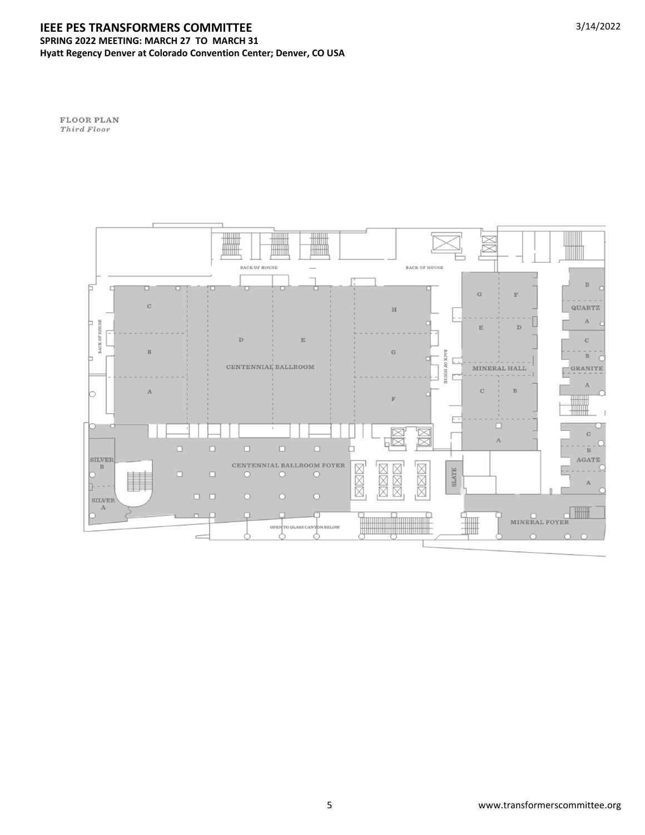# **IEEE PES TRANSFORMERS COMMITTEE** 3/14/2022 **SPRING 2022 MEETING: MARCH 27 TO MARCH 31 Hyatt Regency Denver at Colorado Convention Center; Denver, CO USA**

**FLOOR PLAN** Third Floor

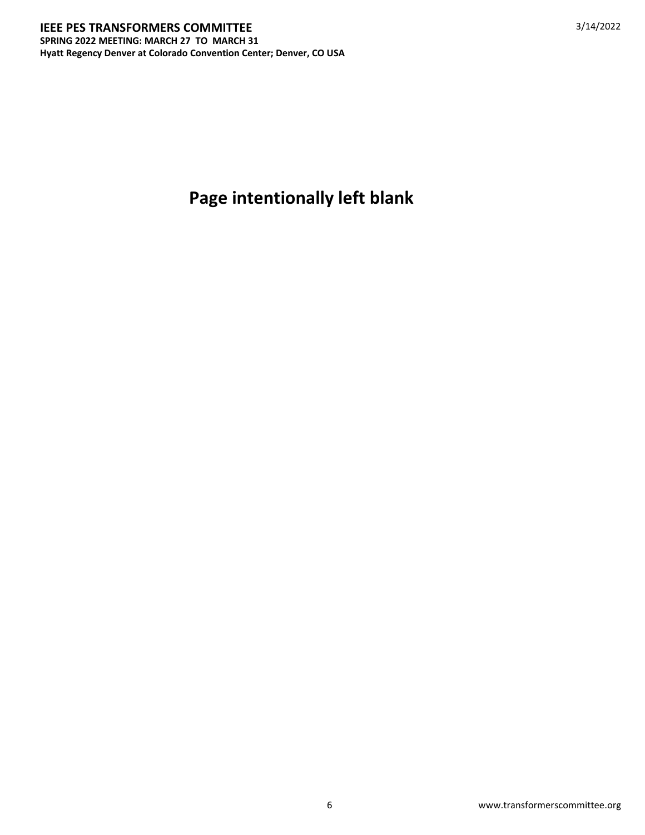# **Page intentionally left blank**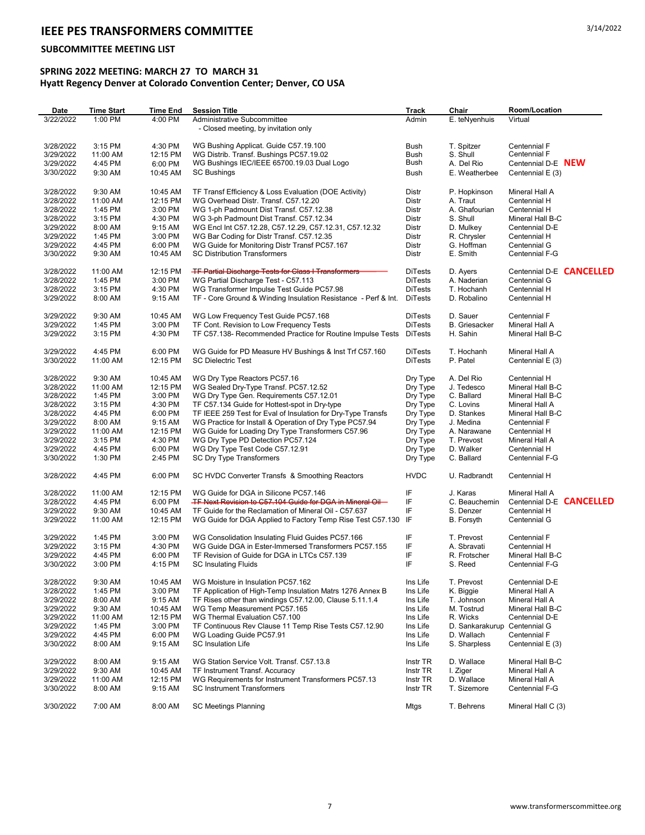## **SUBCOMMITTEE MEETING LIST**

# **SPRING 2022 MEETING: MARCH 27 TO MARCH 31 Hyatt Regency Denver at Colorado Convention Center; Denver, CO USA**

| Date      | <b>Time Start</b> | <b>Time End</b> | <b>Session Title</b>                                             | Track          | Chair                | Room/Location             |  |
|-----------|-------------------|-----------------|------------------------------------------------------------------|----------------|----------------------|---------------------------|--|
| 3/22/2022 | 1:00 PM           | 4:00 PM         | Administrative Subcommittee                                      | Admin          | E. teNyenhuis        | Virtual                   |  |
|           |                   |                 | - Closed meeting, by invitation only                             |                |                      |                           |  |
|           |                   |                 |                                                                  |                |                      |                           |  |
| 3/28/2022 | 3:15 PM           | 4:30 PM         | WG Bushing Applicat. Guide C57.19.100                            | Bush           | T. Spitzer           | Centennial F              |  |
| 3/29/2022 | 11:00 AM          | 12:15 PM        | WG Distrib. Transf. Bushings PC57.19.02                          | Bush           | S. Shull             | Centennial F              |  |
| 3/29/2022 | 4:45 PM           | 6:00 PM         | WG Bushings IEC/IEEE 65700.19.03 Dual Logo                       | Bush           | A. Del Rio           | Centennial D-E <b>NEW</b> |  |
| 3/30/2022 | 9:30 AM           | 10:45 AM        | <b>SC Bushings</b>                                               | <b>Bush</b>    | E. Weatherbee        | Centennial E (3)          |  |
|           |                   |                 |                                                                  |                |                      |                           |  |
| 3/28/2022 | 9:30 AM           | 10:45 AM        | TF Transf Efficiency & Loss Evaluation (DOE Activity)            | Distr          | P. Hopkinson         | Mineral Hall A            |  |
| 3/28/2022 | 11:00 AM          | 12:15 PM        | WG Overhead Distr. Transf. C57.12.20                             | Distr          | A. Traut             | Centennial H              |  |
| 3/28/2022 | 1:45 PM           | 3:00 PM         | WG 1-ph Padmount Dist Transf. C57.12.38                          | Distr          | A. Ghafourian        | Centennial H              |  |
| 3/28/2022 | 3:15 PM           | 4:30 PM         | WG 3-ph Padmount Dist Transf. C57.12.34                          | Distr          | S. Shull             | Mineral Hall B-C          |  |
| 3/29/2022 | 8:00 AM           | 9:15 AM         | WG Encl Int C57.12.28, C57.12.29, C57.12.31, C57.12.32           | Distr          | D. Mulkey            | Centennial D-E            |  |
| 3/29/2022 | 1:45 PM           | 3:00 PM         | WG Bar Coding for Distr Transf. C57.12.35                        | Distr          | R. Chrysler          | Centennial H              |  |
| 3/29/2022 | 4:45 PM           | 6:00 PM         | WG Guide for Monitoring Distr Transf PC57.167                    | Distr          | G. Hoffman           | Centennial G              |  |
| 3/30/2022 | 9:30 AM           | 10:45 AM        | <b>SC Distribution Transformers</b>                              | Distr          | E. Smith             | Centennial F-G            |  |
|           |                   |                 |                                                                  |                |                      |                           |  |
| 3/28/2022 | 11:00 AM          | 12:15 PM        | <b>TF Partial Discharge Tests for Class I Transformers</b>       | <b>DiTests</b> | D. Ayers             | Centennial D-E CANCELLED  |  |
| 3/28/2022 | 1:45 PM           | 3:00 PM         | WG Partial Discharge Test - C57.113                              | <b>DiTests</b> | A. Naderian          | Centennial G              |  |
| 3/28/2022 | 3:15 PM           | 4:30 PM         | WG Transformer Impulse Test Guide PC57.98                        | <b>DiTests</b> | T. Hochanh           | Centennial H              |  |
| 3/29/2022 | 8:00 AM           | 9:15 AM         | TF - Core Ground & Winding Insulation Resistance - Perf & Int.   | <b>DiTests</b> | D. Robalino          | Centennial H              |  |
|           |                   |                 |                                                                  |                |                      |                           |  |
| 3/29/2022 | 9:30 AM           | 10:45 AM        | WG Low Frequency Test Guide PC57.168                             | <b>DiTests</b> | D. Sauer             | Centennial F              |  |
| 3/29/2022 | 1:45 PM           | 3:00 PM         | TF Cont. Revision to Low Frequency Tests                         | <b>DiTests</b> | <b>B.</b> Griesacker | Mineral Hall A            |  |
| 3/29/2022 | 3:15 PM           | 4:30 PM         | TF C57.138- Recommended Practice for Routine Impulse Tests       | <b>DiTests</b> | H. Sahin             | Mineral Hall B-C          |  |
|           |                   |                 |                                                                  |                |                      |                           |  |
| 3/29/2022 | 4:45 PM           | 6:00 PM         | WG Guide for PD Measure HV Bushings & Inst Trf C57.160           | <b>DiTests</b> | T. Hochanh           | Mineral Hall A            |  |
| 3/30/2022 | 11:00 AM          | 12:15 PM        | <b>SC Dielectric Test</b>                                        | <b>DiTests</b> | P. Patel             | Centennial E (3)          |  |
|           |                   |                 |                                                                  |                |                      |                           |  |
| 3/28/2022 | 9:30 AM           | 10:45 AM        | WG Dry Type Reactors PC57.16                                     | Dry Type       | A. Del Rio           | Centennial H              |  |
| 3/28/2022 | 11:00 AM          | 12:15 PM        | WG Sealed Dry-Type Transf. PC57.12.52                            | Dry Type       | J. Tedesco           | Mineral Hall B-C          |  |
| 3/28/2022 | 1:45 PM           | 3:00 PM         | WG Dry Type Gen. Requirements C57.12.01                          | Dry Type       | C. Ballard           | Mineral Hall B-C          |  |
| 3/28/2022 | 3:15 PM           | 4:30 PM         | TF C57.134 Guide for Hottest-spot in Dry-type                    | Dry Type       | C. Lovins            | Mineral Hall A            |  |
| 3/28/2022 | 4:45 PM           | 6:00 PM         | TF IEEE 259 Test for Eval of Insulation for Dry-Type Transfs     | Dry Type       | D. Stankes           | Mineral Hall B-C          |  |
| 3/29/2022 | 8:00 AM           | 9:15 AM         | WG Practice for Install & Operation of Dry Type PC57.94          | Dry Type       | J. Medina            | Centennial F              |  |
| 3/29/2022 | 11:00 AM          | 12:15 PM        | WG Guide for Loading Dry Type Transformers C57.96                | Dry Type       | A. Narawane          | Centennial H              |  |
| 3/29/2022 | 3:15 PM           | 4:30 PM         | WG Dry Type PD Detection PC57.124                                | Dry Type       | T. Prevost           | Mineral Hall A            |  |
| 3/29/2022 | 4:45 PM           | 6:00 PM         | WG Dry Type Test Code C57.12.91                                  | Dry Type       | D. Walker            | Centennial H              |  |
| 3/30/2022 | 1:30 PM           | 2:45 PM         | SC Dry Type Transformers                                         | Dry Type       | C. Ballard           | Centennial F-G            |  |
|           |                   |                 |                                                                  |                |                      |                           |  |
| 3/28/2022 | 4:45 PM           | 6:00 PM         | SC HVDC Converter Transfs & Smoothing Reactors                   | <b>HVDC</b>    | U. Radbrandt         | Centennial H              |  |
|           |                   |                 |                                                                  |                |                      |                           |  |
| 3/28/2022 | 11:00 AM          | 12:15 PM        | WG Guide for DGA in Silicone PC57.146                            | IF             | J. Karas             | Mineral Hall A            |  |
| 3/28/2022 | 4:45 PM           | 6:00 PM         | <b>TF Next Revision to C57.104 Guide for DGA in Mineral Oil-</b> | IF             | C. Beauchemin        | Centennial D-E CANCELLED  |  |
| 3/29/2022 | 9:30 AM           | 10:45 AM        | TF Guide for the Reclamation of Mineral Oil - C57.637            | IF             | S. Denzer            | Centennial H              |  |
| 3/29/2022 | 11:00 AM          | 12:15 PM        | WG Guide for DGA Applied to Factory Temp Rise Test C57.130       | IF             | <b>B.</b> Forsyth    | Centennial G              |  |
|           |                   |                 |                                                                  |                |                      |                           |  |
| 3/29/2022 | 1:45 PM           | 3:00 PM         | WG Consolidation Insulating Fluid Guides PC57.166                | IF             | T. Prevost           | Centennial F              |  |
| 3/29/2022 | 3:15 PM           | 4:30 PM         | WG Guide DGA in Ester-Immersed Transformers PC57.155             | IF             | A. Sbravati          | Centennial H              |  |
| 3/29/2022 | 4:45 PM           | 6:00 PM         | TF Revision of Guide for DGA in LTCs C57.139                     | IF             | R. Frotscher         | Mineral Hall B-C          |  |
| 3/30/2022 | 3:00 PM           | 4:15 PM         | <b>SC Insulating Fluids</b>                                      | IF             | S. Reed              | Centennial F-G            |  |
|           |                   |                 |                                                                  |                |                      |                           |  |
| 3/28/2022 | 9:30 AM           | 10:45 AM        | WG Moisture in Insulation PC57.162                               | Ins Life       | T. Prevost           | Centennial D-E            |  |
| 3/28/2022 | 1:45 PM           | 3:00 PM         | TF Application of High-Temp Insulation Matrs 1276 Annex B        | Ins Life       | K. Biggie            | Mineral Hall A            |  |
| 3/29/2022 | 8:00 AM           | 9:15 AM         | TF Rises other than windings C57.12.00, Clause 5.11.1.4          | Ins Life       | T. Johnson           | Mineral Hall A            |  |
| 3/29/2022 | 9:30 AM           | 10:45 AM        | WG Temp Measurement PC57.165                                     | Ins Life       | M. Tostrud           | Mineral Hall B-C          |  |
| 3/29/2022 | 11:00 AM          | 12:15 PM        | WG Thermal Evaluation C57.100                                    | Ins Life       | R. Wicks             | Centennial D-E            |  |
| 3/29/2022 | 1:45 PM           | 3:00 PM         | TF Continuous Rev Clause 11 Temp Rise Tests C57.12.90            | Ins Life       | D. Sankarakurup      | Centennial G              |  |
| 3/29/2022 | 4:45 PM           | 6:00 PM         | WG Loading Guide PC57.91                                         | Ins Life       | D. Wallach           | Centennial F              |  |
| 3/30/2022 | 8:00 AM           | 9:15 AM         | SC Insulation Life                                               | Ins Life       | S. Sharpless         | Centennial E (3)          |  |
|           |                   |                 |                                                                  |                |                      |                           |  |
| 3/29/2022 | 8:00 AM           | 9:15 AM         | WG Station Service Volt. Transf. C57.13.8                        | Instr TR       | D. Wallace           | Mineral Hall B-C          |  |
| 3/29/2022 | 9:30 AM           | 10:45 AM        | TF Instrument Transf. Accuracy                                   | Instr TR       | I. Ziger             | Mineral Hall A            |  |
| 3/29/2022 | 11:00 AM          | 12:15 PM        | WG Requirements for Instrument Transformers PC57.13              | Instr TR       | D. Wallace           | Mineral Hall A            |  |
| 3/30/2022 | 8:00 AM           | 9:15 AM         | <b>SC Instrument Transformers</b>                                | Instr TR       | T. Sizemore          | Centennial F-G            |  |
|           |                   |                 |                                                                  |                |                      |                           |  |
| 3/30/2022 | 7:00 AM           | 8:00 AM         | <b>SC Meetings Planning</b>                                      | Mtgs           | T. Behrens           | Mineral Hall C (3)        |  |
|           |                   |                 |                                                                  |                |                      |                           |  |